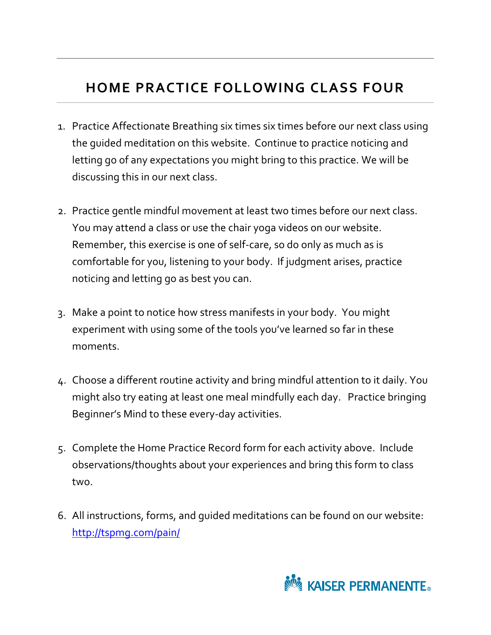## **HOME PRACTICE FOLLOWING CLASS FOUR**

- 1. Practice Affectionate Breathing six times six times before our next class using the guided meditation on this website. Continue to practice noticing and letting go of any expectations you might bring to this practice. We will be discussing this in our next class.
- 2. Practice gentle mindful movement at least two times before our next class. You may attend a class or use the chair yoga videos on our website. Remember, this exercise is one of self-care, so do only as much as is comfortable for you, listening to your body. If judgment arises, practice noticing and letting go as best you can.
- 3. Make a point to notice how stress manifests in your body. You might experiment with using some of the tools you've learned so far in these moments.
- 4. Choose a different routine activity and bring mindful attention to it daily. You might also try eating at least one meal mindfully each day. Practice bringing Beginner's Mind to these every-day activities.
- 5. Complete the Home Practice Record form for each activity above. Include observations/thoughts about your experiences and bring this form to class two.
- 6. All instructions, forms, and guided meditations can be found on our website: http://tspmg.com/pain/